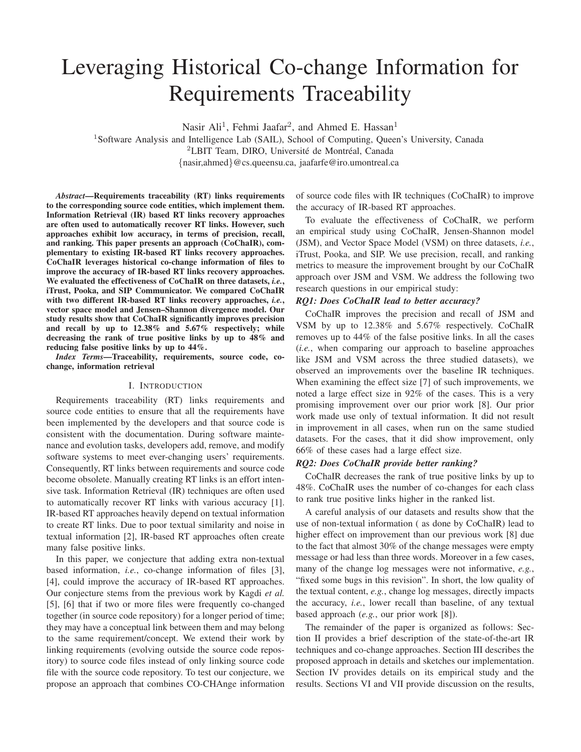# Leveraging Historical Co-change Information for Requirements Traceability

Nasir Ali<sup>1</sup>, Fehmi Jaafar<sup>2</sup>, and Ahmed E. Hassan<sup>1</sup>

<sup>1</sup>Software Analysis and Intelligence Lab (SAIL), School of Computing, Queen's University, Canada  ${}^{2}$ LBIT Team, DIRO, Université de Montréal, Canada {nasir,ahmed}@cs.queensu.ca, jaafarfe@iro.umontreal.ca

*Abstract*—Requirements traceability (RT) links requirements to the corresponding source code entities, which implement them. Information Retrieval (IR) based RT links recovery approaches are often used to automatically recover RT links. However, such approaches exhibit low accuracy, in terms of precision, recall, and ranking. This paper presents an approach (CoChaIR), complementary to existing IR-based RT links recovery approaches. CoChaIR leverages historical co-change information of files to improve the accuracy of IR-based RT links recovery approaches. We evaluated the effectiveness of CoChaIR on three datasets, *i.e.*, iTrust, Pooka, and SIP Communicator. We compared CoChaIR with two different IR-based RT links recovery approaches, *i.e.*, vector space model and Jensen–Shannon divergence model. Our study results show that CoChaIR significantly improves precision and recall by up to 12.38% and 5.67% respectively; while decreasing the rank of true positive links by up to 48% and reducing false positive links by up to 44%.

*Index Terms*—Traceability, requirements, source code, cochange, information retrieval

## I. INTRODUCTION

Requirements traceability (RT) links requirements and source code entities to ensure that all the requirements have been implemented by the developers and that source code is consistent with the documentation. During software maintenance and evolution tasks, developers add, remove, and modify software systems to meet ever-changing users' requirements. Consequently, RT links between requirements and source code become obsolete. Manually creating RT links is an effort intensive task. Information Retrieval (IR) techniques are often used to automatically recover RT links with various accuracy [1]. IR-based RT approaches heavily depend on textual information to create RT links. Due to poor textual similarity and noise in textual information [2], IR-based RT approaches often create many false positive links.

In this paper, we conjecture that adding extra non-textual based information, *i.e.*, co-change information of files [3], [4], could improve the accuracy of IR-based RT approaches. Our conjecture stems from the previous work by Kagdi *et al.* [5], [6] that if two or more files were frequently co-changed together (in source code repository) for a longer period of time; they may have a conceptual link between them and may belong to the same requirement/concept. We extend their work by linking requirements (evolving outside the source code repository) to source code files instead of only linking source code file with the source code repository. To test our conjecture, we propose an approach that combines CO-CHAnge information of source code files with IR techniques (CoChaIR) to improve the accuracy of IR-based RT approaches.

To evaluate the effectiveness of CoChaIR, we perform an empirical study using CoChaIR, Jensen-Shannon model (JSM), and Vector Space Model (VSM) on three datasets, *i.e.*, iTrust, Pooka, and SIP. We use precision, recall, and ranking metrics to measure the improvement brought by our CoChaIR approach over JSM and VSM. We address the following two research questions in our empirical study:

# *RQ1: Does CoChaIR lead to better accuracy?*

CoChaIR improves the precision and recall of JSM and VSM by up to 12.38% and 5.67% respectively. CoChaIR removes up to 44% of the false positive links. In all the cases (*i.e.*, when comparing our approach to baseline approaches like JSM and VSM across the three studied datasets), we observed an improvements over the baseline IR techniques. When examining the effect size [7] of such improvements, we noted a large effect size in 92% of the cases. This is a very promising improvement over our prior work [8]. Our prior work made use only of textual information. It did not result in improvement in all cases, when run on the same studied datasets. For the cases, that it did show improvement, only 66% of these cases had a large effect size.

#### *RQ2: Does CoChaIR provide better ranking?*

CoChaIR decreases the rank of true positive links by up to 48%. CoChaIR uses the number of co-changes for each class to rank true positive links higher in the ranked list.

A careful analysis of our datasets and results show that the use of non-textual information ( as done by CoChaIR) lead to higher effect on improvement than our previous work [8] due to the fact that almost 30% of the change messages were empty message or had less than three words. Moreover in a few cases, many of the change log messages were not informative, *e.g.*, "fixed some bugs in this revision". In short, the low quality of the textual content, *e.g.*, change log messages, directly impacts the accuracy, *i.e.*, lower recall than baseline, of any textual based approach (*e.g.*, our prior work [8]).

The remainder of the paper is organized as follows: Section II provides a brief description of the state-of-the-art IR techniques and co-change approaches. Section III describes the proposed approach in details and sketches our implementation. Section IV provides details on its empirical study and the results. Sections VI and VII provide discussion on the results,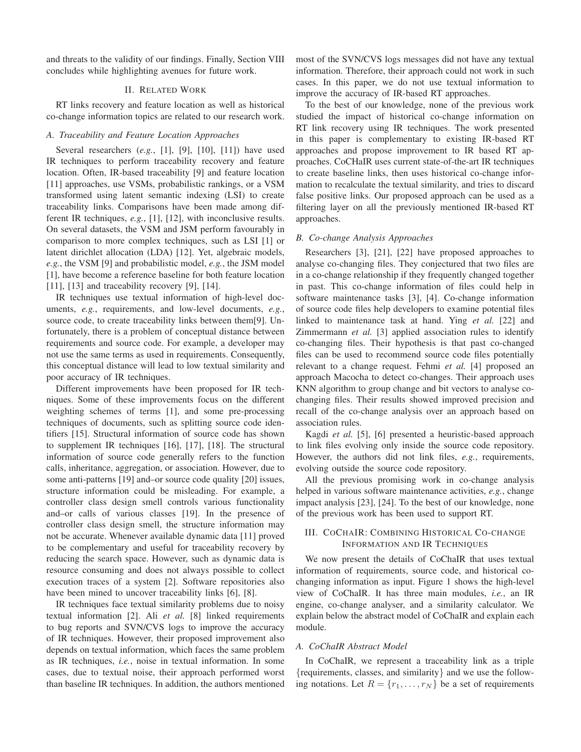and threats to the validity of our findings. Finally, Section VIII concludes while highlighting avenues for future work.

## II. RELATED WORK

RT links recovery and feature location as well as historical co-change information topics are related to our research work.

## *A. Traceability and Feature Location Approaches*

Several researchers (*e.g.*, [1], [9], [10], [11]) have used IR techniques to perform traceability recovery and feature location. Often, IR-based traceability [9] and feature location [11] approaches, use VSMs, probabilistic rankings, or a VSM transformed using latent semantic indexing (LSI) to create traceability links. Comparisons have been made among different IR techniques, *e.g.*, [1], [12], with inconclusive results. On several datasets, the VSM and JSM perform favourably in comparison to more complex techniques, such as LSI [1] or latent dirichlet allocation (LDA) [12]. Yet, algebraic models, *e.g.*, the VSM [9] and probabilistic model, *e.g.*, the JSM model [1], have become a reference baseline for both feature location [11], [13] and traceability recovery [9], [14].

IR techniques use textual information of high-level documents, *e.g.*, requirements, and low-level documents, *e.g.*, source code, to create traceability links between them[9]. Unfortunately, there is a problem of conceptual distance between requirements and source code. For example, a developer may not use the same terms as used in requirements. Consequently, this conceptual distance will lead to low textual similarity and poor accuracy of IR techniques.

Different improvements have been proposed for IR techniques. Some of these improvements focus on the different weighting schemes of terms [1], and some pre-processing techniques of documents, such as splitting source code identifiers [15]. Structural information of source code has shown to supplement IR techniques [16], [17], [18]. The structural information of source code generally refers to the function calls, inheritance, aggregation, or association. However, due to some anti-patterns [19] and–or source code quality [20] issues, structure information could be misleading. For example, a controller class design smell controls various functionality and–or calls of various classes [19]. In the presence of controller class design smell, the structure information may not be accurate. Whenever available dynamic data [11] proved to be complementary and useful for traceability recovery by reducing the search space. However, such as dynamic data is resource consuming and does not always possible to collect execution traces of a system [2]. Software repositories also have been mined to uncover traceability links [6], [8].

IR techniques face textual similarity problems due to noisy textual information [2]. Ali *et al.* [8] linked requirements to bug reports and SVN/CVS logs to improve the accuracy of IR techniques. However, their proposed improvement also depends on textual information, which faces the same problem as IR techniques, *i.e.*, noise in textual information. In some cases, due to textual noise, their approach performed worst than baseline IR techniques. In addition, the authors mentioned most of the SVN/CVS logs messages did not have any textual information. Therefore, their approach could not work in such cases. In this paper, we do not use textual information to improve the accuracy of IR-based RT approaches.

To the best of our knowledge, none of the previous work studied the impact of historical co-change information on RT link recovery using IR techniques. The work presented in this paper is complementary to existing IR-based RT approaches and propose improvement to IR based RT approaches. CoCHaIR uses current state-of-the-art IR techniques to create baseline links, then uses historical co-change information to recalculate the textual similarity, and tries to discard false positive links. Our proposed approach can be used as a filtering layer on all the previously mentioned IR-based RT approaches.

#### *B. Co-change Analysis Approaches*

Researchers [3], [21], [22] have proposed approaches to analyse co-changing files. They conjectured that two files are in a co-change relationship if they frequently changed together in past. This co-change information of files could help in software maintenance tasks [3], [4]. Co-change information of source code files help developers to examine potential files linked to maintenance task at hand. Ying *et al.* [22] and Zimmermann *et al.* [3] applied association rules to identify co-changing files. Their hypothesis is that past co-changed files can be used to recommend source code files potentially relevant to a change request. Fehmi *et al.* [4] proposed an approach Macocha to detect co-changes. Their approach uses KNN algorithm to group change and bit vectors to analyse cochanging files. Their results showed improved precision and recall of the co-change analysis over an approach based on association rules.

Kagdi *et al.* [5], [6] presented a heuristic-based approach to link files evolving only inside the source code repository. However, the authors did not link files, *e.g.*, requirements, evolving outside the source code repository.

All the previous promising work in co-change analysis helped in various software maintenance activities, *e.g.*, change impact analysis [23], [24]. To the best of our knowledge, none of the previous work has been used to support RT.

# III. COCHAIR: COMBINING HISTORICAL CO-CHANGE INFORMATION AND IR TECHNIQUES

We now present the details of CoChaIR that uses textual information of requirements, source code, and historical cochanging information as input. Figure 1 shows the high-level view of CoChaIR. It has three main modules, *i.e.*, an IR engine, co-change analyser, and a similarity calculator. We explain below the abstract model of CoChaIR and explain each module.

#### *A. CoChaIR Abstract Model*

In CoChaIR, we represent a traceability link as a triple {requirements, classes, and similarity} and we use the following notations. Let  $R = \{r_1, \ldots, r_N\}$  be a set of requirements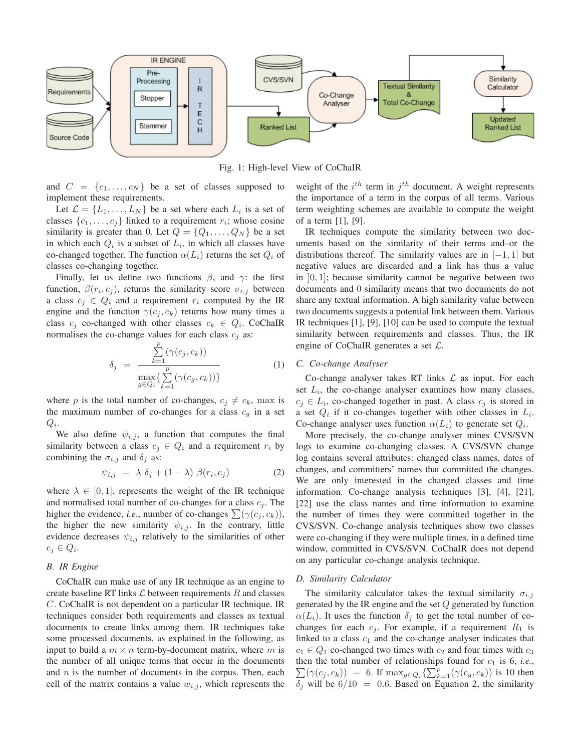

Fig. 1: High-level View of CoChaIR

and  $C = \{c_1, \ldots, c_N\}$  be a set of classes supposed to implement these requirements.

Let  $\mathcal{L} = \{L_1, \ldots, L_N\}$  be a set where each  $L_i$  is a set of classes  $\{c_1, \ldots, c_j\}$  linked to a requirement  $r_i$ ; whose cosine similarity is greater than 0. Let  $Q = \{Q_1, \ldots, Q_N\}$  be a set in which each  $Q_i$  is a subset of  $L_i$ , in which all classes have co-changed together. The function  $\alpha(L_i)$  returns the set  $Q_i$  of classes co-changing together.

Finally, let us define two functions  $\beta$ , and  $\gamma$ : the first function,  $\beta(r_i, c_j)$ , returns the similarity score  $\sigma_{i,j}$  between a class  $c_j \in Q_i$  and a requirement  $r_i$  computed by the IR engine and the function  $\gamma(c_j, c_k)$  returns how many times a class  $c_j$  co-changed with other classes  $c_k \in Q_i$ . CoChaIR normalises the co-change values for each class  $c_i$  as:

$$
\delta_j = \frac{\sum_{k=1}^p (\gamma(c_j, c_k))}{\max_{g \in Q_i} \{ \sum_{k=1}^p (\gamma(c_g, c_k)) \}}
$$
(1)

where p is the total number of co-changes,  $c_j \neq c_k$ , max is the maximum number of co-changes for a class  $c_q$  in a set  $Q_i$ .

We also define  $\psi_{i,j}$ , a function that computes the final similarity between a class  $c_i \in Q_i$  and a requirement  $r_i$  by combining the  $\sigma_{i,j}$  and  $\delta_i$  as:

$$
\psi_{i,j} = \lambda \delta_j + (1 - \lambda) \beta(r_i, c_j) \tag{2}
$$

where  $\lambda \in [0, 1]$ , represents the weight of the IR technique and normalised total number of co-changes for a class  $c_j$ . The higher the evidence, *i.e.*, number of co-changes  $\sum(\gamma(c_j, c_k))$ , the higher the new similarity  $\psi_{i,j}$ . In the contrary, little evidence decreases  $\psi_{i,j}$  relatively to the similarities of other  $c_j \in Q_i$ .

## *B. IR Engine*

CoChaIR can make use of any IR technique as an engine to create baseline RT links  $\mathcal L$  between requirements R and classes C. CoChaIR is not dependent on a particular IR technique. IR techniques consider both requirements and classes as textual documents to create links among them. IR techniques take some processed documents, as explained in the following, as input to build a  $m \times n$  term-by-document matrix, where m is the number of all unique terms that occur in the documents and  $n$  is the number of documents in the corpus. Then, each cell of the matrix contains a value  $w_{i,j}$ , which represents the

weight of the  $i^{th}$  term in  $j^{th}$  document. A weight represents the importance of a term in the corpus of all terms. Various term weighting schemes are available to compute the weight of a term [1], [9].

IR techniques compute the similarity between two documents based on the similarity of their terms and–or the distributions thereof. The similarity values are in  $[-1, 1]$  but negative values are discarded and a link has thus a value in  $[0, 1]$ ; because similarity cannot be negative between two documents and 0 similarity means that two documents do not share any textual information. A high similarity value between two documents suggests a potential link between them. Various IR techniques [1], [9], [10] can be used to compute the textual similarity between requirements and classes. Thus, the IR engine of CoChaIR generates a set  $\mathcal{L}$ .

#### *C. Co-change Analyser*

Co-change analyser takes RT links  $\mathcal L$  as input. For each set  $L_i$ , the co-change analyser examines how many classes,  $c_j \in L_i$ , co-changed together in past. A class  $c_j$  is stored in a set  $Q_i$  if it co-changes together with other classes in  $L_i$ . Co-change analyser uses function  $\alpha(L_i)$  to generate set  $Q_i$ .

More precisely, the co-change analyser mines CVS/SVN logs to examine co-changing classes. A CVS/SVN change log contains several attributes: changed class names, dates of changes, and committers' names that committed the changes. We are only interested in the changed classes and time information. Co-change analysis techniques [3], [4], [21], [22] use the class names and time information to examine the number of times they were committed together in the CVS/SVN. Co-change analysis techniques show two classes were co-changing if they were multiple times, in a defined time window, committed in CVS/SVN. CoChaIR does not depend on any particular co-change analysis technique.

#### *D. Similarity Calculator*

The similarity calculator takes the textual similarity  $\sigma_{i,j}$ generated by the IR engine and the set Q generated by function  $\alpha(L_i)$ . It uses the function  $\delta_j$  to get the total number of cochanges for each  $c_j$ . For example, if a requirement  $R_1$  is linked to a class  $c_1$  and the co-change analyser indicates that  $c_1 \in Q_1$  co-changed two times with  $c_2$  and four times with  $c_3$ then the total number of relationships found for  $c_1$  is 6, *i.e.*,  $\sum(\gamma(c_j, c_k)) = 6$ . If  $\max_{g \in Q_i} \left\{ \sum_{k=1}^p (\gamma(c_g, c_k)) \right\}$  is 10 then  $\delta_j$  will be  $6/10 = 0.6$ . Based on Equation 2, the similarity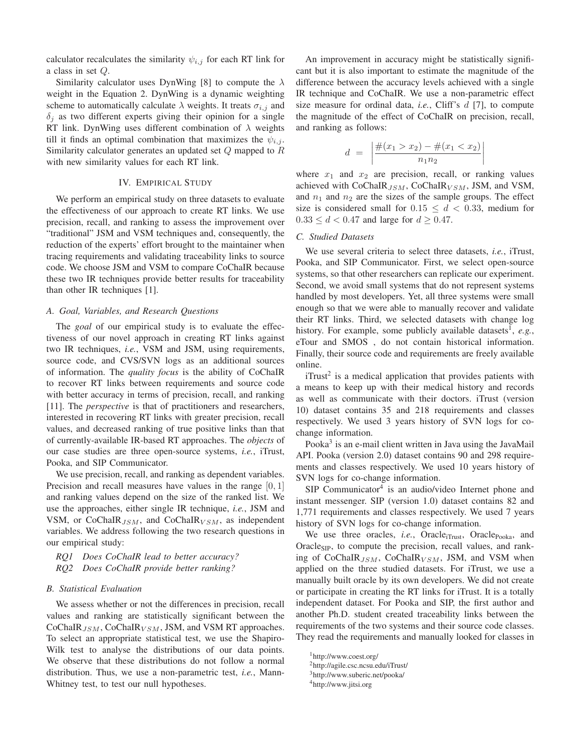calculator recalculates the similarity  $\psi_{i,j}$  for each RT link for a class in set Q.

Similarity calculator uses DynWing [8] to compute the  $\lambda$ weight in the Equation 2. DynWing is a dynamic weighting scheme to automatically calculate  $\lambda$  weights. It treats  $\sigma_{i,j}$  and  $\delta_i$  as two different experts giving their opinion for a single RT link. DynWing uses different combination of  $\lambda$  weights till it finds an optimal combination that maximizes the  $\psi_{i,j}$ . Similarity calculator generates an updated set Q mapped to R with new similarity values for each RT link.

## IV. EMPIRICAL STUDY

We perform an empirical study on three datasets to evaluate the effectiveness of our approach to create RT links. We use precision, recall, and ranking to assess the improvement over "traditional" JSM and VSM techniques and, consequently, the reduction of the experts' effort brought to the maintainer when tracing requirements and validating traceability links to source code. We choose JSM and VSM to compare CoChaIR because these two IR techniques provide better results for traceability than other IR techniques [1].

#### *A. Goal, Variables, and Research Questions*

The *goal* of our empirical study is to evaluate the effectiveness of our novel approach in creating RT links against two IR techniques, *i.e.*, VSM and JSM, using requirements, source code, and CVS/SVN logs as an additional sources of information. The *quality focus* is the ability of CoChaIR to recover RT links between requirements and source code with better accuracy in terms of precision, recall, and ranking [11]. The *perspective* is that of practitioners and researchers, interested in recovering RT links with greater precision, recall values, and decreased ranking of true positive links than that of currently-available IR-based RT approaches. The *objects* of our case studies are three open-source systems, *i.e.*, iTrust, Pooka, and SIP Communicator.

We use precision, recall, and ranking as dependent variables. Precision and recall measures have values in the range [0, 1] and ranking values depend on the size of the ranked list. We use the approaches, either single IR technique, *i.e.*, JSM and VSM, or CoChaIR $_{JSM}$ , and CoChaIR $_{VSM}$ , as independent variables. We address following the two research questions in our empirical study:

# *RQ1 Does CoChaIR lead to better accuracy? RQ2 Does CoChaIR provide better ranking?*

## *B. Statistical Evaluation*

We assess whether or not the differences in precision, recall values and ranking are statistically significant between the  $CoChaIR_{JSM}$ ,  $CoChaIR_{VSM}$ , JSM, and VSM RT approaches. To select an appropriate statistical test, we use the Shapiro-Wilk test to analyse the distributions of our data points. We observe that these distributions do not follow a normal distribution. Thus, we use a non-parametric test, *i.e.*, Mann-Whitney test, to test our null hypotheses.

An improvement in accuracy might be statistically significant but it is also important to estimate the magnitude of the difference between the accuracy levels achieved with a single IR technique and CoChaIR. We use a non-parametric effect size measure for ordinal data, *i.e.*, Cliff's d [7], to compute the magnitude of the effect of CoChaIR on precision, recall, and ranking as follows:

$$
d = \left| \frac{\#(x_1 > x_2) - \#(x_1 < x_2)}{n_1 n_2} \right|
$$

where  $x_1$  and  $x_2$  are precision, recall, or ranking values achieved with CoChaIR $_{JSM}$ , CoChaIR $_{VSM}$ , JSM, and VSM, and  $n_1$  and  $n_2$  are the sizes of the sample groups. The effect size is considered small for  $0.15 \le d < 0.33$ , medium for  $0.33 \le d < 0.47$  and large for  $d \ge 0.47$ .

## *C. Studied Datasets*

We use several criteria to select three datasets, *i.e.*, iTrust, Pooka, and SIP Communicator. First, we select open-source systems, so that other researchers can replicate our experiment. Second, we avoid small systems that do not represent systems handled by most developers. Yet, all three systems were small enough so that we were able to manually recover and validate their RT links. Third, we selected datasets with change log history. For example, some publicly available datasets<sup>1</sup>,  $e.g.,$ eTour and SMOS , do not contain historical information. Finally, their source code and requirements are freely available online.

 $i$ Trust<sup>2</sup> is a medical application that provides patients with a means to keep up with their medical history and records as well as communicate with their doctors. iTrust (version 10) dataset contains 35 and 218 requirements and classes respectively. We used 3 years history of SVN logs for cochange information.

Pooka $3$  is an e-mail client written in Java using the JavaMail API. Pooka (version 2.0) dataset contains 90 and 298 requirements and classes respectively. We used 10 years history of SVN logs for co-change information.

 $SIP$  Communicator<sup>4</sup> is an audio/video Internet phone and instant messenger. SIP (version 1.0) dataset contains 82 and 1,771 requirements and classes respectively. We used 7 years history of SVN logs for co-change information.

We use three oracles, *i.e.*, Oracle<sub>iTrust</sub>, Oracle<sub>Pooka</sub>, and Oracle $_{\rm SP}$ , to compute the precision, recall values, and ranking of CoChaIR $_{JSM}$ , CoChaIR $_{VSM}$ , JSM, and VSM when applied on the three studied datasets. For iTrust, we use a manually built oracle by its own developers. We did not create or participate in creating the RT links for iTrust. It is a totally independent dataset. For Pooka and SIP, the first author and another Ph.D. student created traceability links between the requirements of the two systems and their source code classes. They read the requirements and manually looked for classes in

2http://agile.csc.ncsu.edu/iTrust/

<sup>1</sup>http://www.coest.org/

<sup>3</sup>http://www.suberic.net/pooka/

<sup>4</sup>http://www.jitsi.org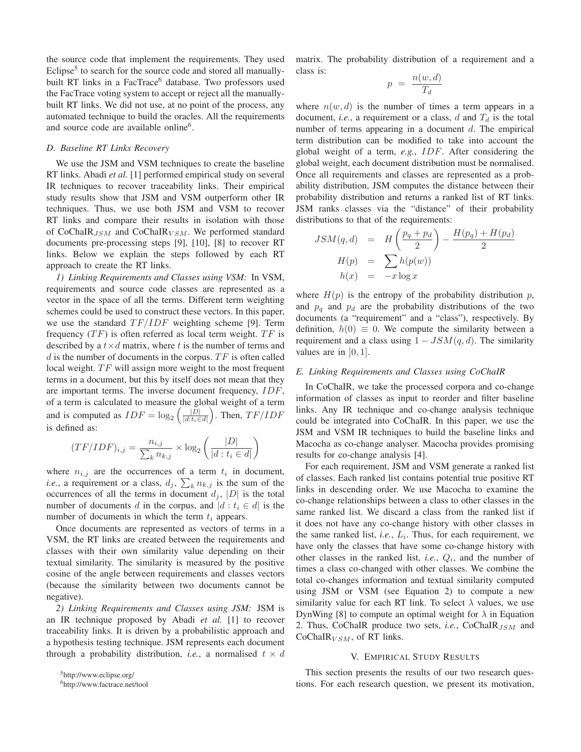the source code that implement the requirements. They used Eclipse $<sup>5</sup>$  to search for the source code and stored all manually-</sup> built RT links in a FacTrace<sup>6</sup> database. Two professors used the FacTrace voting system to accept or reject all the manuallybuilt RT links. We did not use, at no point of the process, any automated technique to build the oracles. All the requirements and source code are available online<sup>6</sup>.

#### *D. Baseline RT Links Recovery*

We use the JSM and VSM techniques to create the baseline RT links. Abadi *et al.* [1] performed empirical study on several IR techniques to recover traceability links. Their empirical study results show that JSM and VSM outperform other IR techniques. Thus, we use both JSM and VSM to recover RT links and compare their results in isolation with those of CoChaIR<sub>JSM</sub> and CoChaIR<sub>VSM</sub>. We performed standard documents pre-processing steps [9], [10], [8] to recover RT links. Below we explain the steps followed by each RT approach to create the RT links.

*1) Linking Requirements and Classes using VSM:* In VSM, requirements and source code classes are represented as a vector in the space of all the terms. Different term weighting schemes could be used to construct these vectors. In this paper, we use the standard  $TF/IDF$  weighting scheme [9]. Term frequency  $(TF)$  is often referred as local term weight.  $TF$  is described by a  $t \times d$  matrix, where t is the number of terms and  $d$  is the number of documents in the corpus.  $TF$  is often called local weight.  $TF$  will assign more weight to the most frequent terms in a document, but this by itself does not mean that they are important terms. The inverse document frequency, IDF, of a term is calculated to measure the global weight of a term and is computed as  $IDF = log_2 \left( \frac{|\overline{D}|}{|d:t_i \in \mathbb{R}|} \right)$  $|d:t_i\in d|$ ). Then,  $TF/IDF$ is defined as:

$$
(TF/IDF)_{i,j} = \frac{n_{i,j}}{\sum_{k} n_{k,j}} \times \log_2\left(\frac{|D|}{|d: t_i \in d|}\right)
$$

where  $n_{i,j}$  are the occurrences of a term  $t_i$  in document, *i.e.*, a requirement or a class,  $d_j$ ,  $\sum_k n_{k,j}$  is the sum of the occurrences of all the terms in document  $d_j$ ,  $|D|$  is the total number of documents d in the corpus, and  $|d : t_i \in d|$  is the number of documents in which the term  $t_i$  appears.

Once documents are represented as vectors of terms in a VSM, the RT links are created between the requirements and classes with their own similarity value depending on their textual similarity. The similarity is measured by the positive cosine of the angle between requirements and classes vectors (because the similarity between two documents cannot be negative).

*2) Linking Requirements and Classes using JSM:* JSM is an IR technique proposed by Abadi *et al.* [1] to recover traceability links. It is driven by a probabilistic approach and a hypothesis testing technique. JSM represents each document through a probability distribution, *i.e.*, a normalised  $t \times d$ 

5http://www.eclipse.org/

6http://www.factrace.net/tool

matrix. The probability distribution of a requirement and a class is:

$$
p = \frac{n(w, d)}{T_d}
$$

where  $n(w, d)$  is the number of times a term appears in a document, *i.e.*, a requirement or a class,  $d$  and  $T_d$  is the total number of terms appearing in a document  $d$ . The empirical term distribution can be modified to take into account the global weight of a term, *e.g.*, IDF. After considering the global weight, each document distribution must be normalised. Once all requirements and classes are represented as a probability distribution, JSM computes the distance between their probability distribution and returns a ranked list of RT links. JSM ranks classes via the "distance" of their probability distributions to that of the requirements:

$$
JSM(q, d) = H\left(\frac{p_q + p_d}{2}\right) - \frac{H(p_q) + H(p_d)}{2}
$$

$$
H(p) = \sum_{h(x)} h(p(w))
$$

$$
h(x) = -x \log x
$$

where  $H(p)$  is the entropy of the probability distribution p, and  $p_q$  and  $p_d$  are the probability distributions of the two documents (a "requirement" and a "class"), respectively. By definition,  $h(0) \equiv 0$ . We compute the similarity between a requirement and a class using  $1 - JSM(q, d)$ . The similarity values are in  $[0, 1]$ .

# *E. Linking Requirements and Classes using CoChaIR*

In CoChaIR, we take the processed corpora and co-change information of classes as input to reorder and filter baseline links. Any IR technique and co-change analysis technique could be integrated into CoChaIR. In this paper, we use the JSM and VSM IR techniques to build the baseline links and Macocha as co-change analyser. Macocha provides promising results for co-change analysis [4].

For each requirement, JSM and VSM generate a ranked list of classes. Each ranked list contains potential true positive RT links in descending order. We use Macocha to examine the co-change relationships between a class to other classes in the same ranked list. We discard a class from the ranked list if it does not have any co-change history with other classes in the same ranked list, *i.e.*,  $L_i$ . Thus, for each requirement, we have only the classes that have some co-change history with other classes in the ranked list, *i.e.*,  $Q_i$ , and the number of times a class co-changed with other classes. We combine the total co-changes information and textual similarity computed using JSM or VSM (see Equation 2) to compute a new similarity value for each RT link. To select  $\lambda$  values, we use DynWing [8] to compute an optimal weight for  $\lambda$  in Equation 2. Thus, CoChaIR produce two sets, *i.e.*, CoChaIR J<sub>SM</sub> and CoChaIR $_{VSM}$ , of RT links.

#### V. EMPIRICAL STUDY RESULTS

This section presents the results of our two research questions. For each research question, we present its motivation,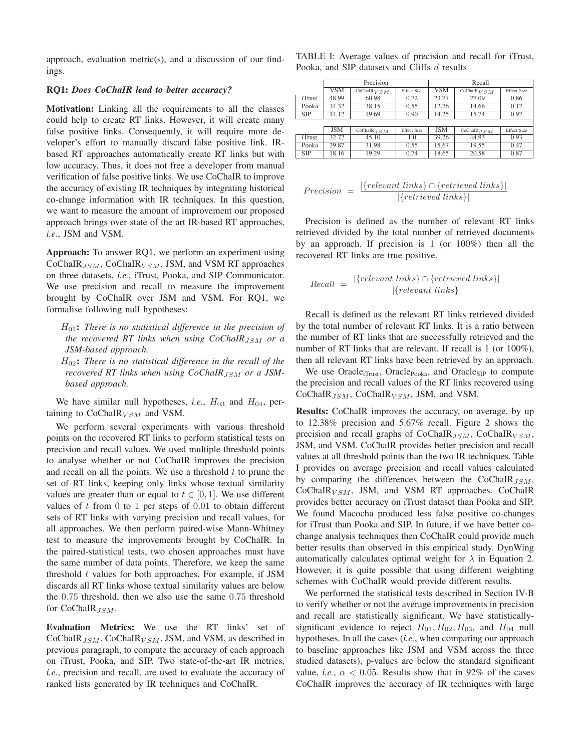approach, evaluation metric(s), and a discussion of our findings.

#### RQ1: *Does CoChaIR lead to better accuracy?*

Motivation: Linking all the requirements to all the classes could help to create RT links. However, it will create many false positive links. Consequently, it will require more developer's effort to manually discard false positive link. IRbased RT approaches automatically create RT links but with low accuracy. Thus, it does not free a developer from manual verification of false positive links. We use CoChaIR to improve the accuracy of existing IR techniques by integrating historical co-change information with IR techniques. In this question, we want to measure the amount of improvement our proposed approach brings over state of the art IR-based RT approaches, *i.e.*, JSM and VSM.

Approach: To answer RQ1, we perform an experiment using  $CoChaIR_{JSM}$ ,  $CoChaIR_{VSM}$ , JSM, and VSM RT approaches on three datasets, *i.e.*, iTrust, Pooka, and SIP Communicator. We use precision and recall to measure the improvement brought by CoChaIR over JSM and VSM. For RQ1, we formalise following null hypotheses:

H01: *There is no statistical difference in the precision of the recovered RT links when using CoChaIR<sub>JSM</sub> or a JSM-based approach.*

H02: *There is no statistical difference in the recall of the recovered RT links when using CoChaIR*<sub>JSM</sub> or a JSM*based approach.*

We have similar null hypotheses, *i.e.*,  $H_{03}$  and  $H_{04}$ , pertaining to  $CoChaIR_{VSM}$  and VSM.

We perform several experiments with various threshold points on the recovered RT links to perform statistical tests on precision and recall values. We used multiple threshold points to analyse whether or not CoChaIR improves the precision and recall on all the points. We use a threshold  $t$  to prune the set of RT links, keeping only links whose textual similarity values are greater than or equal to  $t \in [0, 1]$ . We use different values of  $t$  from 0 to 1 per steps of 0.01 to obtain different sets of RT links with varying precision and recall values, for all approaches. We then perform paired-wise Mann-Whitney test to measure the improvements brought by CoChaIR. In the paired-statistical tests, two chosen approaches must have the same number of data points. Therefore, we keep the same threshold  $t$  values for both approaches. For example, if  $JSM$ discards all RT links whose textual similarity values are below the 0.75 threshold, then we also use the same 0.75 threshold for  $CoChaIR$ <sub>JSM</sub>.

Evaluation Metrics: We use the RT links' set of CoChaIR<sub>JSM</sub>, CoChaIR<sub>VSM</sub>, JSM, and VSM, as described in previous paragraph, to compute the accuracy of each approach on iTrust, Pooka, and SIP. Two state-of-the-art IR metrics, *i.e.*, precision and recall, are used to evaluate the accuracy of ranked lists generated by IR techniques and CoChaIR.

TABLE I: Average values of precision and recall for iTrust, Pooka, and SIP datasets and Cliffs d results

|  |                | Precision  |                          |                    | Recall     |                          |                    |  |
|--|----------------|------------|--------------------------|--------------------|------------|--------------------------|--------------------|--|
|  |                | <b>VSM</b> | CoChalR <sub>V</sub> S M | <b>Effect Size</b> | VSM        | CoChalR <sub>V</sub> S M | <b>Effect Size</b> |  |
|  | <i>i</i> Trust | 48.99      | 60.98                    | 0.72               | 23.77      | 27.09                    | 0.86               |  |
|  | Pooka          | 34.32      | 38.15                    | 0.55               | 12.76      | 14.66                    | 0.12               |  |
|  | <b>SIP</b>     | 14.12      | 19.69                    | 0.90               | 14.25      | 15.74                    | 0.92               |  |
|  |                |            |                          |                    |            |                          |                    |  |
|  |                | <b>JSM</b> | $CoChaIR$ . $J S M$      | <b>Effect Size</b> | <b>JSM</b> | CoChaIR $_{JSM}$         | <b>Effect Size</b> |  |
|  | iTrust         | 32.72      | 45.10                    | 1.0                | 39.26      | 44.93                    | 0.93               |  |
|  | Pooka          | 29.87      | 31.98                    | 0.55               | 15.67      | 19.55                    | 0.47               |  |
|  | <b>SIP</b>     | 18.16      | 19.29                    | 0.74               | 18.65      | 20.58                    | 0.87               |  |

| $Precision =$ | $ \{relevant\ links\} \cap \{retrieved\ links\} $ |  |
|---------------|---------------------------------------------------|--|
|               | $ \{retrieved\ links\} $                          |  |

Precision is defined as the number of relevant RT links retrieved divided by the total number of retrieved documents by an approach. If precision is 1 (or 100%) then all the recovered RT links are true positive.

$$
Recall = \frac{|\{relevant\ links\} \cap \{retrieved\ links\}|}{|\{relevant\ links\}|}
$$

Recall is defined as the relevant RT links retrieved divided by the total number of relevant RT links. It is a ratio between the number of RT links that are successfully retrieved and the number of RT links that are relevant. If recall is 1 (or 100%), then all relevant RT links have been retrieved by an approach.

We use Oracle<sub>iTrust</sub>, Oracle<sub>Pooka</sub>, and Oracle<sub>SIP</sub> to compute the precision and recall values of the RT links recovered using CoChaIR $_{JSM}$ , CoChaIR $_{VSM}$ , JSM, and VSM.

Results: CoChaIR improves the accuracy, on average, by up to 12.38% precision and 5.67% recall. Figure 2 shows the precision and recall graphs of  $CoChaIR_{JSM}$ ,  $CoChaIR_{VSM}$ , JSM, and VSM. CoChaIR provides better precision and recall values at all threshold points than the two IR techniques. Table I provides on average precision and recall values calculated by comparing the differences between the CoChaIR $_{JSM}$ ,  $CoChaIR<sub>VSM</sub>$ , JSM, and VSM RT approaches. CoChaIR provides better accuracy on iTrust dataset than Pooka and SIP. We found Macocha produced less false positive co-changes for iTrust than Pooka and SIP. In future, if we have better cochange analysis techniques then CoChaIR could provide much better results than observed in this empirical study. DynWing automatically calculates optimal weight for  $\lambda$  in Equation 2. However, it is quite possible that using different weighting schemes with CoChaIR would provide different results.

We performed the statistical tests described in Section IV-B to verify whether or not the average improvements in precision and recall are statistically significant. We have statisticallysignificant evidence to reject  $H_{01}$ ,  $H_{02}$ ,  $H_{03}$ , and  $H_{04}$  null hypotheses. In all the cases (*i.e.*, when comparing our approach to baseline approaches like JSM and VSM across the three studied datasets), p-values are below the standard significant value, *i.e.*,  $\alpha$  < 0.05. Results show that in 92% of the cases CoChaIR improves the accuracy of IR techniques with large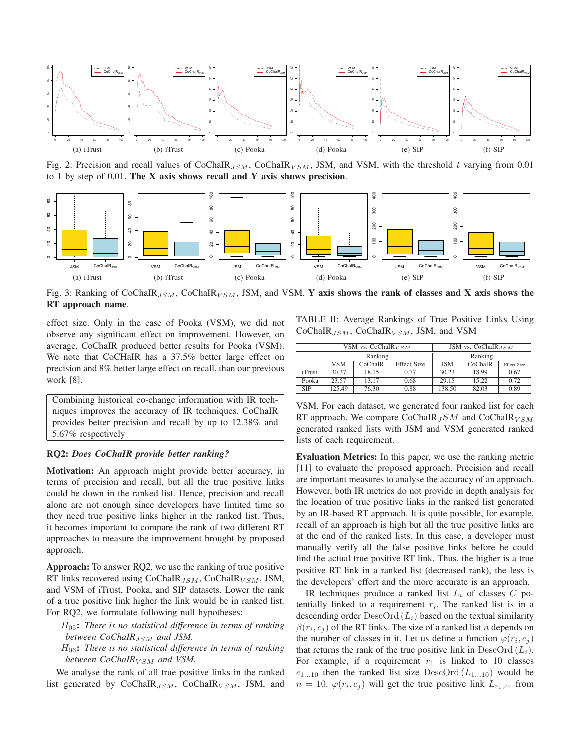

Fig. 2: Precision and recall values of CoChaIR<sub>JSM</sub>, CoChaIR<sub>VSM</sub>, JSM, and VSM, with the threshold t varying from 0.01 to 1 by step of 0.01. The  $X$  axis shows recall and  $Y$  axis shows precision.



Fig. 3: Ranking of CoChaIR<sub>JSM</sub>, CoChaIR<sub>VSM</sub>, JSM, and VSM. Y axis shows the rank of classes and X axis shows the RT approach name.

effect size. Only in the case of Pooka (VSM), we did not observe any significant effect on improvement. However, on average, CoChaIR produced better results for Pooka (VSM). We note that CoCHaIR has a 37.5% better large effect on precision and 8% better large effect on recall, than our previous work [8].

Combining historical co-change information with IR techniques improves the accuracy of IR techniques. CoChaIR provides better precision and recall by up to 12.38% and 5.67% respectively

# RQ2: *Does CoChaIR provide better ranking?*

Motivation: An approach might provide better accuracy, in terms of precision and recall, but all the true positive links could be down in the ranked list. Hence, precision and recall alone are not enough since developers have limited time so they need true positive links higher in the ranked list. Thus, it becomes important to compare the rank of two different RT approaches to measure the improvement brought by proposed approach.

Approach: To answer RQ2, we use the ranking of true positive RT links recovered using CoChaIR $_{JSM}$ , CoChaIR $_{VSM}$ , JSM, and VSM of iTrust, Pooka, and SIP datasets. Lower the rank of a true positive link higher the link would be in ranked list. For RQ2, we formulate following null hypotheses:

- H05: *There is no statistical difference in terms of ranking between CoChaIR<sub>JSM</sub> and JSM.*
- H06: *There is no statistical difference in terms of ranking between CoChaIR*<sub>V SM</sub> and VSM.

We analyse the rank of all true positive links in the ranked list generated by CoChaIR $_{JSM}$ , CoChaIR $_{VSM}$ , JSM, and TABLE II: Average Rankings of True Positive Links Using CoChaIR $_{JSM}$ , CoChaIR $_{VSM}$ , JSM, and VSM

|            |        | VSM vs. CoChaIR $_{VSM}$ |                    | JSM vs. CoChaIR <sub>JSM</sub> |         |                    |
|------------|--------|--------------------------|--------------------|--------------------------------|---------|--------------------|
|            |        | Ranking                  |                    | Ranking                        |         |                    |
|            | VSM    | CoChaIR                  | <b>Effect Size</b> | <b>JSM</b>                     | CoChaIR | <b>Effect Size</b> |
| iTrust     | 30.37  | 18.15                    | 0.77               | 30.23                          | 18.99   | 0.67               |
| Pooka      | 23.57  | 13.17                    | 0.68               | 29.15                          | 15.22   | 0.72               |
| <b>SIP</b> | 125.49 | 76.30                    | 0.88               | 138.50                         | 82.03   | 0.89               |

VSM. For each dataset, we generated four ranked list for each RT approach. We compare CoChaIR  $_JSM$  and CoChaIR  $_{VSM}$ generated ranked lists with JSM and VSM generated ranked lists of each requirement.

Evaluation Metrics: In this paper, we use the ranking metric [11] to evaluate the proposed approach. Precision and recall are important measures to analyse the accuracy of an approach. However, both IR metrics do not provide in depth analysis for the location of true positive links in the ranked list generated by an IR-based RT approach. It is quite possible, for example, recall of an approach is high but all the true positive links are at the end of the ranked lists. In this case, a developer must manually verify all the false positive links before he could find the actual true positive RT link. Thus, the higher is a true positive RT link in a ranked list (decreased rank), the less is the developers' effort and the more accurate is an approach.

IR techniques produce a ranked list  $L_i$  of classes C potentially linked to a requirement  $r_i$ . The ranked list is in a descending order  $DescOrd(L_i)$  based on the textual similarity  $\beta(r_i, c_i)$  of the RT links. The size of a ranked list n depends on the number of classes in it. Let us define a function  $\varphi(r_i, c_i)$ that returns the rank of the true positive link in  $DescOrd(L_i)$ . For example, if a requirement  $r_1$  is linked to 10 classes  $c_{1...10}$  then the ranked list size DescOrd  $(L_{1...10})$  would be  $n = 10$ .  $\varphi(r_i, c_j)$  will get the true positive link  $L_{r_1, c_7}$  from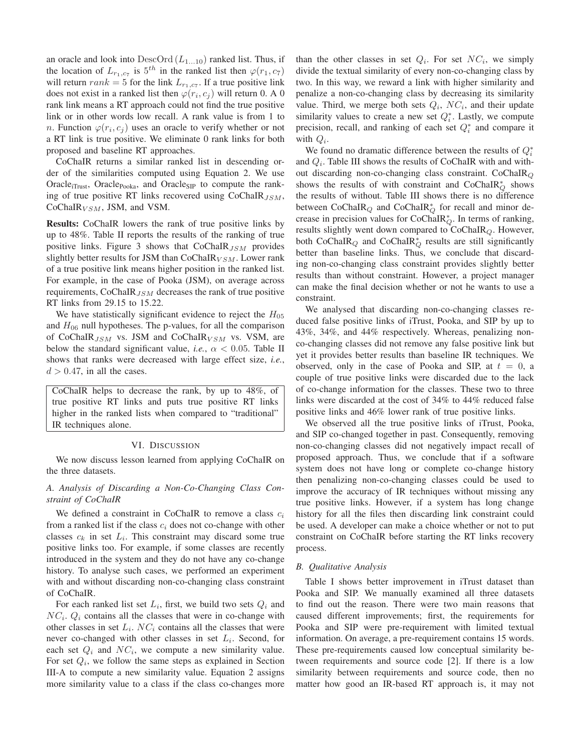an oracle and look into  $DescOrd(L_{1...10})$  ranked list. Thus, if the location of  $L_{r_1,c_7}$  is  $5^{th}$  in the ranked list then  $\varphi(r_1, c_7)$ will return  $rank = 5$  for the link  $L_{r_1,c_7}$ . If a true positive link does not exist in a ranked list then  $\varphi(r_i, c_j)$  will return 0. A 0 rank link means a RT approach could not find the true positive link or in other words low recall. A rank value is from 1 to n. Function  $\varphi(r_i, c_j)$  uses an oracle to verify whether or not a RT link is true positive. We eliminate 0 rank links for both proposed and baseline RT approaches.

CoChaIR returns a similar ranked list in descending order of the similarities computed using Equation 2. We use Oracle<sub>iTrust</sub>, Oracle<sub>Pooka</sub>, and Oracle<sub>SIP</sub> to compute the ranking of true positive RT links recovered using  $CoChaIR_{JSM}$ , CoChaIR $_{VSM}$ , JSM, and VSM.

Results: CoChaIR lowers the rank of true positive links by up to 48%. Table II reports the results of the ranking of true positive links. Figure 3 shows that  $CoChaIR_{JSM}$  provides slightly better results for JSM than  $CoChaIR_{VSM}$ . Lower rank of a true positive link means higher position in the ranked list. For example, in the case of Pooka (JSM), on average across requirements,  $CoChaIR_{JSM}$  decreases the rank of true positive RT links from 29.15 to 15.22.

We have statistically significant evidence to reject the  $H_{05}$ and  $H_{06}$  null hypotheses. The p-values, for all the comparison of CoChaIR $_{JSM}$  vs. JSM and CoChaIR $_{VSM}$  vs. VSM, are below the standard significant value, *i.e.*,  $\alpha$  < 0.05. Table II shows that ranks were decreased with large effect size, *i.e.*,  $d > 0.47$ , in all the cases.

CoChaIR helps to decrease the rank, by up to 48%, of true positive RT links and puts true positive RT links higher in the ranked lists when compared to "traditional" IR techniques alone.

#### VI. DISCUSSION

We now discuss lesson learned from applying CoChaIR on the three datasets.

# *A. Analysis of Discarding a Non-Co-Changing Class Constraint of CoChaIR*

We defined a constraint in CoChaIR to remove a class  $c_i$ from a ranked list if the class  $c_i$  does not co-change with other classes  $c_k$  in set  $L_i$ . This constraint may discard some true positive links too. For example, if some classes are recently introduced in the system and they do not have any co-change history. To analyse such cases, we performed an experiment with and without discarding non-co-changing class constraint of CoChaIR.

For each ranked list set  $L_i$ , first, we build two sets  $Q_i$  and  $NC_i$ .  $Q_i$  contains all the classes that were in co-change with other classes in set  $L_i$ . N $C_i$  contains all the classes that were never co-changed with other classes in set  $L_i$ . Second, for each set  $Q_i$  and  $NC_i$ , we compute a new similarity value. For set  $Q_i$ , we follow the same steps as explained in Section III-A to compute a new similarity value. Equation 2 assigns more similarity value to a class if the class co-changes more than the other classes in set  $Q_i$ . For set  $NC_i$ , we simply divide the textual similarity of every non-co-changing class by two. In this way, we reward a link with higher similarity and penalize a non-co-changing class by decreasing its similarity value. Third, we merge both sets  $Q_i$ ,  $NC_i$ , and their update similarity values to create a new set  $Q_i^*$ . Lastly, we compute precision, recall, and ranking of each set  $Q_i^*$  and compare it with  $Q_i$ .

We found no dramatic difference between the results of  $Q_i^*$ and  $Q_i$ . Table III shows the results of CoChaIR with and without discarding non-co-changing class constraint.  $CoChaIR<sub>Q</sub>$ shows the results of with constraint and CoChaIR $^*_{Q}$  shows the results of without. Table III shows there is no difference between CoChaIR<sub>Q</sub> and CoChaIR<sub> $_Q^*$ </sub> for recall and minor decrease in precision values for CoChaIR $^*_{Q}$ . In terms of ranking, results slightly went down compared to  $CoChaIR_Q$ . However, both CoChaIR $_Q$  and CoChaIR $_Q^*$  results are still significantly better than baseline links. Thus, we conclude that discarding non-co-changing class constraint provides slightly better results than without constraint. However, a project manager can make the final decision whether or not he wants to use a constraint.

We analysed that discarding non-co-changing classes reduced false positive links of iTrust, Pooka, and SIP by up to 43%, 34%, and 44% respectively. Whereas, penalizing nonco-changing classes did not remove any false positive link but yet it provides better results than baseline IR techniques. We observed, only in the case of Pooka and SIP, at  $t = 0$ , a couple of true positive links were discarded due to the lack of co-change information for the classes. These two to three links were discarded at the cost of 34% to 44% reduced false positive links and 46% lower rank of true positive links.

We observed all the true positive links of iTrust, Pooka, and SIP co-changed together in past. Consequently, removing non-co-changing classes did not negatively impact recall of proposed approach. Thus, we conclude that if a software system does not have long or complete co-change history then penalizing non-co-changing classes could be used to improve the accuracy of IR techniques without missing any true positive links. However, if a system has long change history for all the files then discarding link constraint could be used. A developer can make a choice whether or not to put constraint on CoChaIR before starting the RT links recovery process.

#### *B. Qualitative Analysis*

Table I shows better improvement in iTrust dataset than Pooka and SIP. We manually examined all three datasets to find out the reason. There were two main reasons that caused different improvements; first, the requirements for Pooka and SIP were pre-requirement with limited textual information. On average, a pre-requirement contains 15 words. These pre-requirements caused low conceptual similarity between requirements and source code [2]. If there is a low similarity between requirements and source code, then no matter how good an IR-based RT approach is, it may not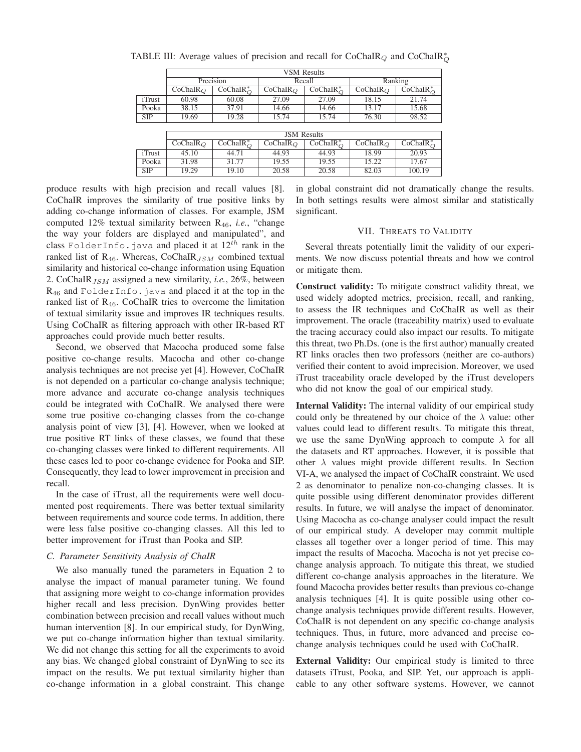|                | <b>VSM</b> Results |                                     |                                      |                        |             |               |  |
|----------------|--------------------|-------------------------------------|--------------------------------------|------------------------|-------------|---------------|--|
|                | Precision          |                                     | Recall                               |                        | Ranking     |               |  |
|                | $CoChaIR_O$        | $CoChaIR_O^*$                       | $CoChaIR_O$                          | $CoChaIR^*_{\bigcirc}$ | $CoChaIR_O$ | $CoChaIR_O^*$ |  |
| iTrust         | 60.98              | 60.08                               | 27.09                                | 27.09                  | 18.15       | 21.74         |  |
| Pooka          | 38.15              | 37.91                               | 14.66                                | 14.66                  | 13.17       | 15.68         |  |
| <b>SIP</b>     | 19.69              | 19.28                               | 15.74                                | 15.74                  | 76.30       | 98.52         |  |
|                |                    |                                     |                                      |                        |             |               |  |
|                | <b>JSM</b> Results |                                     |                                      |                        |             |               |  |
|                | $CoChaIR_O$        | $\overline{\text{CoChaIR}}_{O}^{*}$ | $\overline{\text{Co}}\text{ChaIR}_O$ | $CoChaIR_{\bigcirc}^*$ | $CoChaIR_O$ | $CoChaIR_O^*$ |  |
| <i>i</i> Trust | 45.10              | 44.71                               | 44.93                                | 44.93                  | 18.99       | 20.93         |  |
| Pooka          | 31.98              | 31.77                               | 19.55                                | 19.55                  | 15.22       | 17.67         |  |
| <b>SIP</b>     | 19.29              | 19.10                               | 20.58                                | 20.58                  | 82.03       | 100.19        |  |

TABLE III: Average values of precision and recall for CoChaIR $_Q$  and CoChaIR $_Q^*$ 

produce results with high precision and recall values [8]. CoChaIR improves the similarity of true positive links by adding co-change information of classes. For example, JSM computed 12% textual similarity between R46, *i.e.*, "change the way your folders are displayed and manipulated", and class FolderInfo. java and placed it at  $12^{th}$  rank in the ranked list of  $R_{46}$ . Whereas, CoChaIR $_{JSM}$  combined textual similarity and historical co-change information using Equation 2. CoChaIR<sub>JSM</sub> assigned a new similarity, *i.e.*, 26%, between R<sup>46</sup> and FolderInfo.java and placed it at the top in the ranked list of  $R_{46}$ . CoChaIR tries to overcome the limitation of textual similarity issue and improves IR techniques results. Using CoChaIR as filtering approach with other IR-based RT approaches could provide much better results.

Second, we observed that Macocha produced some false positive co-change results. Macocha and other co-change analysis techniques are not precise yet [4]. However, CoChaIR is not depended on a particular co-change analysis technique; more advance and accurate co-change analysis techniques could be integrated with CoChaIR. We analysed there were some true positive co-changing classes from the co-change analysis point of view [3], [4]. However, when we looked at true positive RT links of these classes, we found that these co-changing classes were linked to different requirements. All these cases led to poor co-change evidence for Pooka and SIP. Consequently, they lead to lower improvement in precision and recall.

In the case of iTrust, all the requirements were well documented post requirements. There was better textual similarity between requirements and source code terms. In addition, there were less false positive co-changing classes. All this led to better improvement for iTrust than Pooka and SIP.

#### *C. Parameter Sensitivity Analysis of ChaIR*

We also manually tuned the parameters in Equation 2 to analyse the impact of manual parameter tuning. We found that assigning more weight to co-change information provides higher recall and less precision. DynWing provides better combination between precision and recall values without much human intervention [8]. In our empirical study, for DynWing, we put co-change information higher than textual similarity. We did not change this setting for all the experiments to avoid any bias. We changed global constraint of DynWing to see its impact on the results. We put textual similarity higher than co-change information in a global constraint. This change in global constraint did not dramatically change the results. In both settings results were almost similar and statistically significant.

#### VII. THREATS TO VALIDITY

Several threats potentially limit the validity of our experiments. We now discuss potential threats and how we control or mitigate them.

Construct validity: To mitigate construct validity threat, we used widely adopted metrics, precision, recall, and ranking, to assess the IR techniques and CoChaIR as well as their improvement. The oracle (traceability matrix) used to evaluate the tracing accuracy could also impact our results. To mitigate this threat, two Ph.Ds. (one is the first author) manually created RT links oracles then two professors (neither are co-authors) verified their content to avoid imprecision. Moreover, we used iTrust traceability oracle developed by the iTrust developers who did not know the goal of our empirical study.

Internal Validity: The internal validity of our empirical study could only be threatened by our choice of the  $\lambda$  value: other values could lead to different results. To mitigate this threat, we use the same DynWing approach to compute  $\lambda$  for all the datasets and RT approaches. However, it is possible that other  $\lambda$  values might provide different results. In Section VI-A, we analysed the impact of CoChaIR constraint. We used 2 as denominator to penalize non-co-changing classes. It is quite possible using different denominator provides different results. In future, we will analyse the impact of denominator. Using Macocha as co-change analyser could impact the result of our empirical study. A developer may commit multiple classes all together over a longer period of time. This may impact the results of Macocha. Macocha is not yet precise cochange analysis approach. To mitigate this threat, we studied different co-change analysis approaches in the literature. We found Macocha provides better results than previous co-change analysis techniques [4]. It is quite possible using other cochange analysis techniques provide different results. However, CoChaIR is not dependent on any specific co-change analysis techniques. Thus, in future, more advanced and precise cochange analysis techniques could be used with CoChaIR.

External Validity: Our empirical study is limited to three datasets iTrust, Pooka, and SIP. Yet, our approach is applicable to any other software systems. However, we cannot